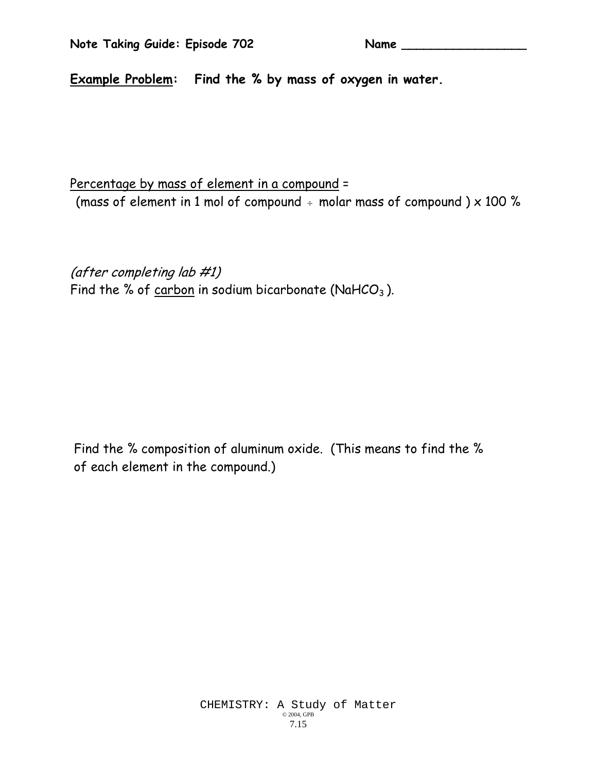**Example Problem: Find the % by mass of oxygen in water.** 

Percentage by mass of element in a compound = (mass of element in 1 mol of compound  $\div$  molar mass of compound ) x 100 %

(after completing lab #1) Find the % of  $c$ arbon in sodium bicarbonate (NaHCO<sub>3</sub>).

 Find the % composition of aluminum oxide. (This means to find the % of each element in the compound.)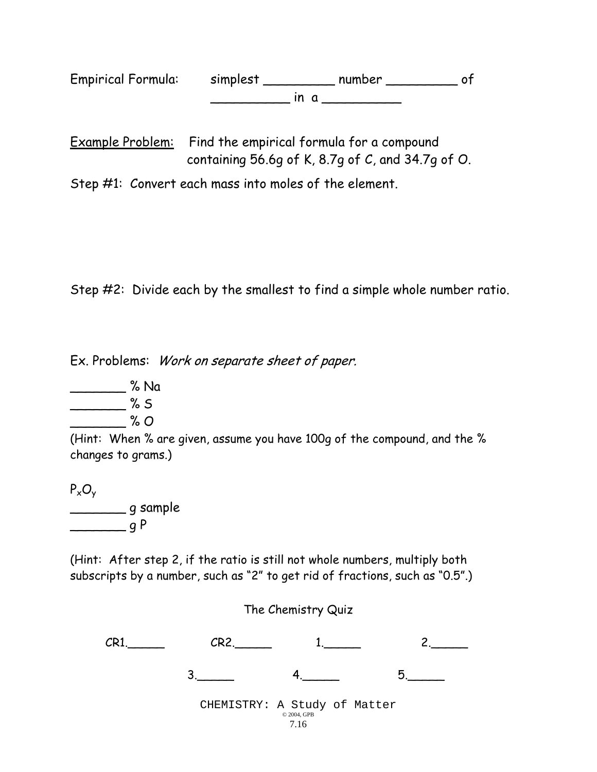| <b>Empirical Formula:</b> | simplest | number |  |
|---------------------------|----------|--------|--|
|                           |          |        |  |

Example Problem: Find the empirical formula for a compound containing 56.6g of K, 8.7g of C, and 34.7g of O.

Step #1: Convert each mass into moles of the element.

Step #2: Divide each by the smallest to find a simple whole number ratio.

Ex. Problems: Work on separate sheet of paper.

\_\_\_\_\_\_\_ % Na  $\frac{8}{3}$  % S  $\frac{2}{100}$ % O

(Hint: When % are given, assume you have 100g of the compound, and the % changes to grams.)

 $P_xO_y$ \_\_\_\_\_\_\_ g sample

 $q P$ 

(Hint: After step 2, if the ratio is still not whole numbers, multiply both subscripts by a number, such as "2" to get rid of fractions, such as "0.5".)

The Chemistry Quiz

| CR |                                             |  |
|----|---------------------------------------------|--|
|    |                                             |  |
|    | CHEMISTRY: A Study of Matter<br>© 2004, GPB |  |

7.16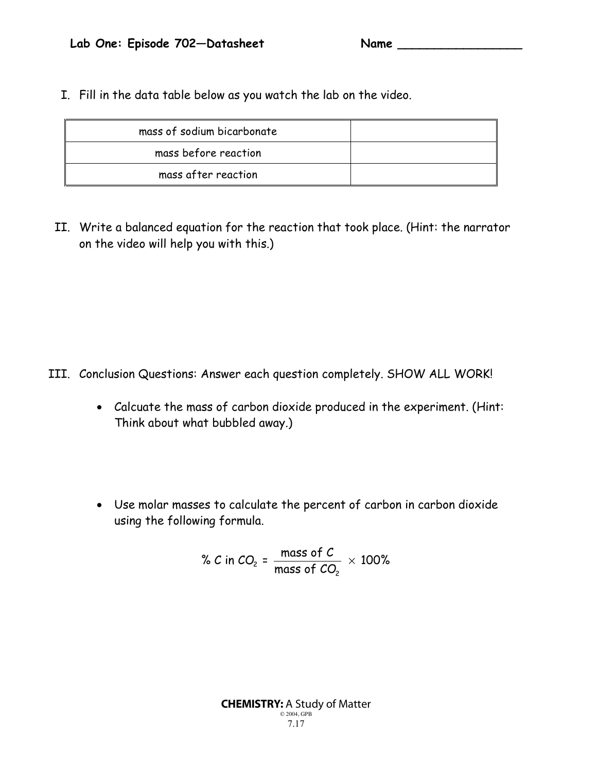I. Fill in the data table below as you watch the lab on the video.

| mass of sodium bicarbonate |  |
|----------------------------|--|
| mass before reaction       |  |
| mass after reaction        |  |

II. Write a balanced equation for the reaction that took place. (Hint: the narrator on the video will help you with this.)

- III. Conclusion Questions: Answer each question completely. SHOW ALL WORK!
	- Calcuate the mass of carbon dioxide produced in the experiment. (Hint: Think about what bubbled away.)
	- Use molar masses to calculate the percent of carbon in carbon dioxide using the following formula.

% C in CO<sub>2</sub> = 
$$
\frac{\text{mass of C}}{\text{mass of CO}_2} \times 100\%
$$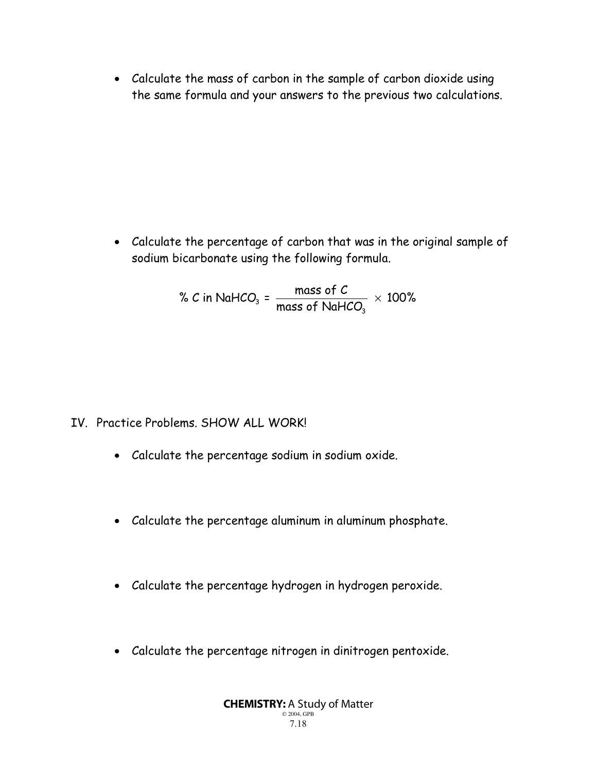• Calculate the mass of carbon in the sample of carbon dioxide using the same formula and your answers to the previous two calculations.

• Calculate the percentage of carbon that was in the original sample of sodium bicarbonate using the following formula.

> $\beta_3$  =  $\frac{1}{2}$   $\frac{1}{2}$   $\frac{1}{2}$   $\frac{1}{2}$   $\frac{1}{2}$   $\frac{1}{2}$   $\frac{1}{2}$   $\frac{1}{2}$   $\frac{1}{2}$   $\frac{1}{2}$   $\frac{1}{2}$   $\frac{1}{2}$   $\frac{1}{2}$   $\frac{1}{2}$   $\frac{1}{2}$   $\frac{1}{2}$   $\frac{1}{2}$   $\frac{1}{2}$   $\frac{1}{2}$   $\frac{1}{2}$   $\frac{1}{2}$   $\$ 3 % C in NaHCO<sub>3</sub> =  $\frac{mass\ of\ C}{\sim 100\ \%}$   $\times$  100% mass of NaHCO

- IV. Practice Problems. SHOW ALL WORK!
	- Calculate the percentage sodium in sodium oxide.
	- Calculate the percentage aluminum in aluminum phosphate.
	- Calculate the percentage hydrogen in hydrogen peroxide.
	- Calculate the percentage nitrogen in dinitrogen pentoxide.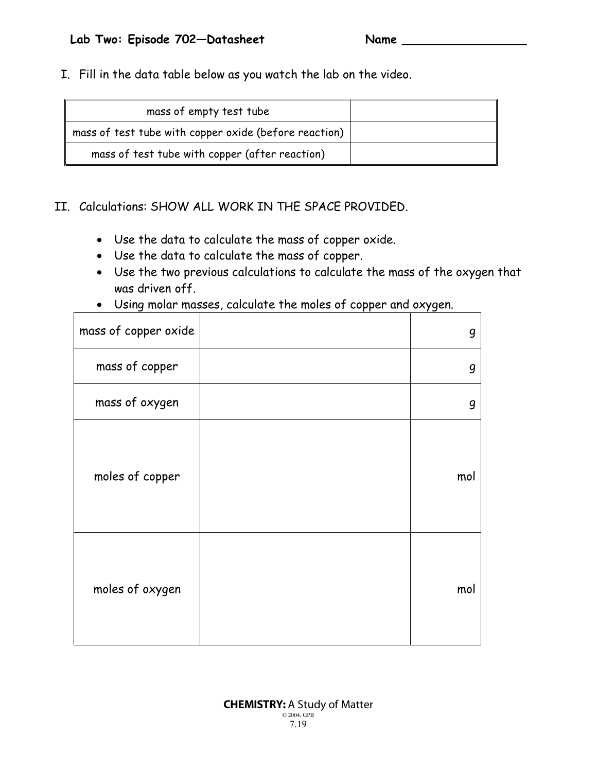I. Fill in the data table below as you watch the lab on the video.

| mass of empty test tube                               |  |
|-------------------------------------------------------|--|
| mass of test tube with copper oxide (before reaction) |  |
| mass of test tube with copper (after reaction)        |  |

#### II. Calculations: SHOW ALL WORK IN THE SPACE PROVIDED.

- Use the data to calculate the mass of copper oxide.
- Use the data to calculate the mass of copper.
- Use the two previous calculations to calculate the mass of the oxygen that was driven off.
- Using molar masses, calculate the moles of copper and oxygen.

| mass of copper oxide | g   |
|----------------------|-----|
| mass of copper       | g   |
| mass of oxygen       | g   |
| moles of copper      | mol |
| moles of oxygen      | mol |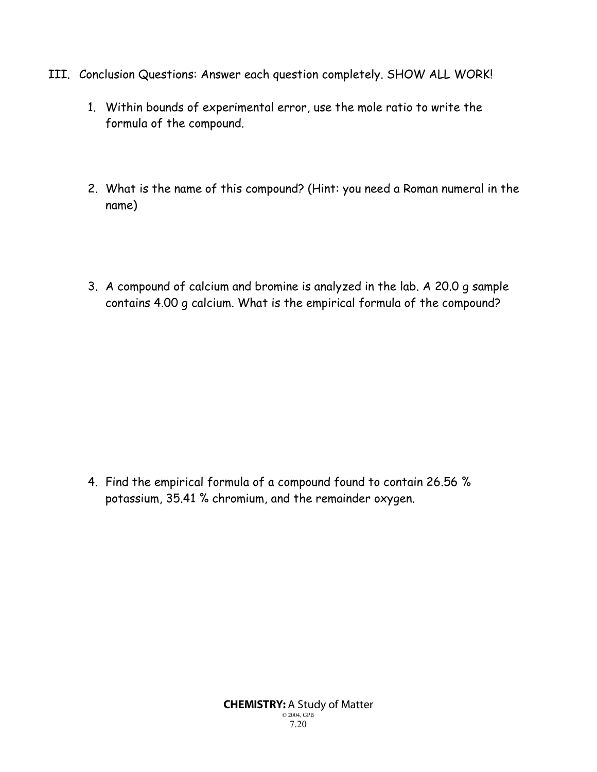- III. Conclusion Questions: Answer each question completely. SHOW ALL WORK!
	- 1. Within bounds of experimental error, use the mole ratio to write the formula of the compound.
	- 2. What is the name of this compound? (Hint: you need a Roman numeral in the name)
	- 3. A compound of calcium and bromine is analyzed in the lab. A 20.0 g sample contains 4.00 g calcium. What is the empirical formula of the compound?

4. Find the empirical formula of a compound found to contain 26.56 % potassium, 35.41 % chromium, and the remainder oxygen.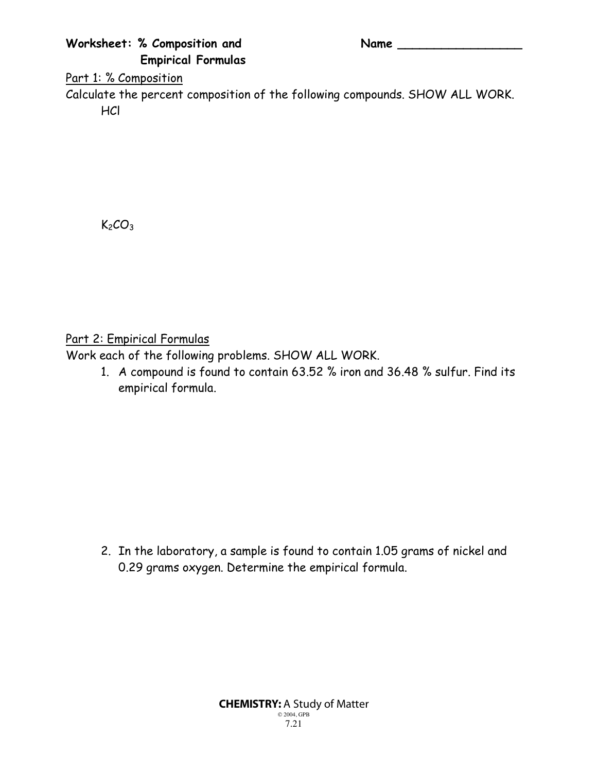### **Worksheet: % Composition and Name \_\_\_\_\_\_\_\_\_\_\_\_\_\_\_\_\_ Empirical Formulas**

#### Part 1: % Composition

Calculate the percent composition of the following compounds. SHOW ALL WORK. **HCl** 

 $K<sub>2</sub>CO<sub>3</sub>$ 

Part 2: Empirical Formulas

Work each of the following problems. SHOW ALL WORK.

1. A compound is found to contain 63.52 % iron and 36.48 % sulfur. Find its empirical formula.

2. In the laboratory, a sample is found to contain 1.05 grams of nickel and 0.29 grams oxygen. Determine the empirical formula.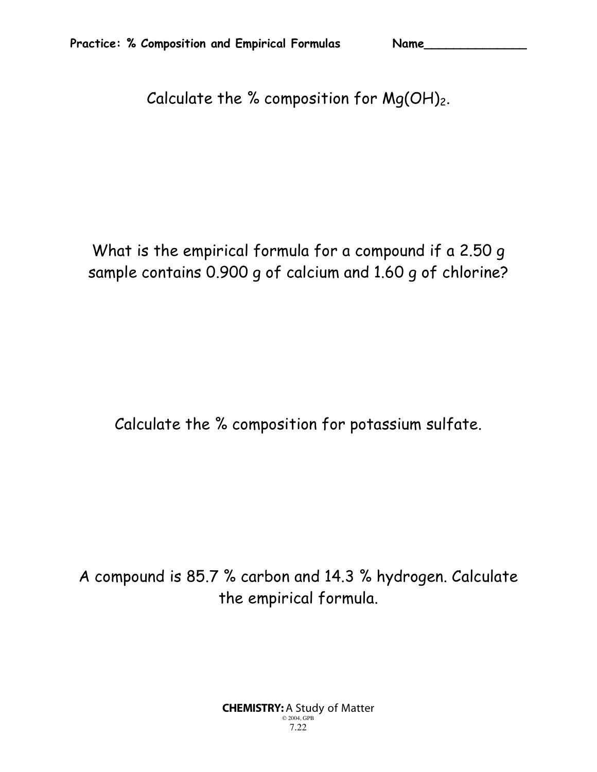Calculate the % composition for  $Mg(OH)_2$ .

What is the empirical formula for a compound if a 2.50 g sample contains 0.900 g of calcium and 1.60 g of chlorine?

Calculate the % composition for potassium sulfate.

A compound is 85.7 % carbon and 14.3 % hydrogen. Calculate the empirical formula.